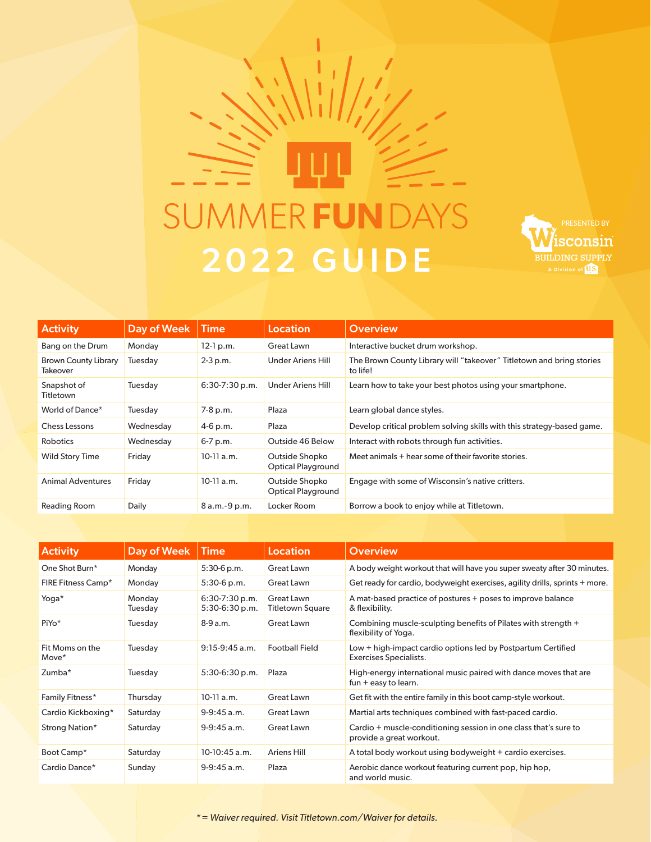# SUMMER AYS 2022 GUIDE



| <b>Activity</b>                                | Day of Week | Time             | Location                                    | <b>Overview</b>                                                                  |
|------------------------------------------------|-------------|------------------|---------------------------------------------|----------------------------------------------------------------------------------|
| Bang on the Drum                               | Monday      | $12-1 p.m.$      | Great Lawn                                  | Interactive bucket drum workshop.                                                |
| <b>Brown County Library</b><br><b>Takeover</b> | Tuesday     | $2 - 3 p.m.$     | Under Ariens Hill                           | The Brown County Library will "takeover" Titletown and bring stories<br>to life! |
| Snapshot of<br>Titletown                       | Tuesday     | $6:30-7:30$ p.m. | <b>Under Ariens Hill</b>                    | Learn how to take your best photos using your smartphone.                        |
| World of Dance*                                | Tuesday     | 7-8 p.m.         | Plaza                                       | Learn global dance styles.                                                       |
| Chess Lessons                                  | Wednesday   | $4-6$ p.m.       | Plaza                                       | Develop critical problem solving skills with this strategy-based game.           |
| <b>Robotics</b>                                | Wednesday   | $6-7$ p.m.       | Outside 46 Below                            | Interact with robots through fun activities.                                     |
| <b>Wild Story Time</b>                         | Friday      | $10-11$ a.m.     | Outside Shopko<br><b>Optical Playground</b> | Meet animals + hear some of their favorite stories.                              |
| <b>Animal Adventures</b>                       | Friday      | $10-11$ a.m.     | Outside Shopko<br><b>Optical Playground</b> | Engage with some of Wisconsin's native critters.                                 |
| Reading Room                                   | Daily       | 8 a.m. - 9 p.m.  | Locker Room                                 | Borrow a book to enjoy while at Titletown.                                       |

| <b>Activity</b>          | Day of Week       | <b>Time</b>                        | Location                              | <b>Overview</b>                                                                              |
|--------------------------|-------------------|------------------------------------|---------------------------------------|----------------------------------------------------------------------------------------------|
| One Shot Burn*           | Monday            | $5:30-6$ p.m.                      | Great Lawn                            | A body weight workout that will have you super sweaty after 30 minutes.                      |
| FIRE Fitness Camp*       | Monday            | $5:30-6$ p.m.                      | Great Lawn                            | Get ready for cardio, bodyweight exercises, agility drills, sprints + more.                  |
| Yoga*                    | Monday<br>Tuesday | $6:30-7:30$ p.m.<br>5:30-6:30 p.m. | Great Lawn<br><b>Titletown Square</b> | A mat-based practice of postures + poses to improve balance<br>& flexibility.                |
| PiYo*                    | Tuesday           | $8-9a.m.$                          | Great Lawn                            | Combining muscle-sculpting benefits of Pilates with strength +<br>flexibility of Yoga.       |
| Fit Moms on the<br>Move* | Tuesday           | $9:15-9:45$ a.m.                   | <b>Football Field</b>                 | Low + high-impact cardio options led by Postpartum Certified<br>Exercises Specialists.       |
| Zumba*                   | Tuesday           | $5:30-6:30 p.m.$                   | Plaza                                 | High-energy international music paired with dance moves that are<br>fun $+$ easy to learn.   |
| Family Fitness*          | Thursday          | $10-11$ a.m.                       | Great Lawn                            | Get fit with the entire family in this boot camp-style workout.                              |
| Cardio Kickboxing*       | Saturday          | $9-9:45$ a.m.                      | Great Lawn                            | Martial arts techniques combined with fast-paced cardio.                                     |
| Strong Nation*           | Saturday          | $9-9:45$ a.m.                      | Great Lawn                            | Cardio + muscle-conditioning session in one class that's sure to<br>provide a great workout. |
| Boot Camp*               | Saturday          | 10-10:45 a.m.                      | <b>Ariens Hill</b>                    | A total body workout using bodyweight + cardio exercises.                                    |
| Cardio Dance*            | Sunday            | $9-9:45$ a.m.                      | Plaza                                 | Aerobic dance workout featuring current pop, hip hop,<br>and world music.                    |

*\* = Waiver required. Visit Titletown.com/Waiver for details.*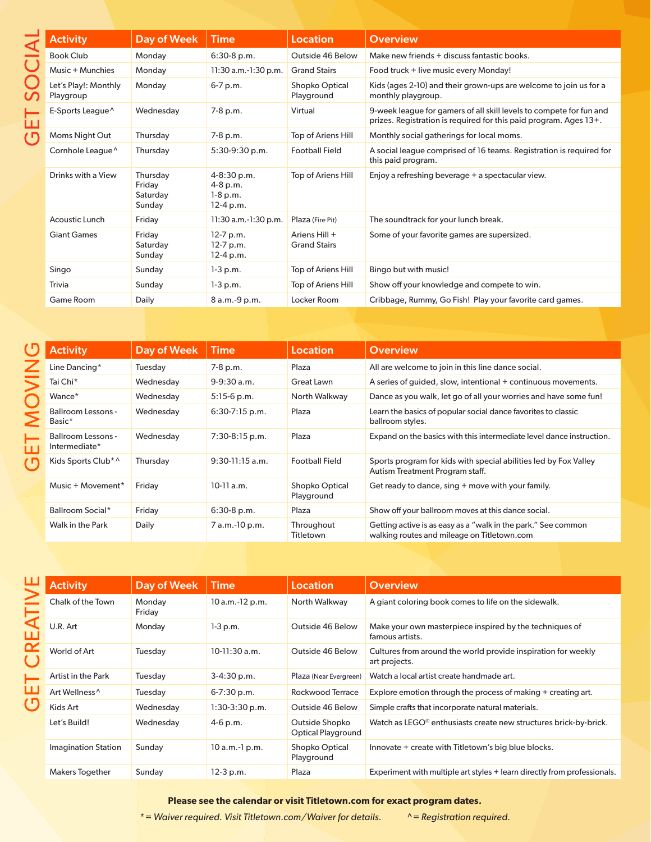| <b>Activity</b>                   | Day of Week                              | <b>Time</b>                                                | <b>Location</b>                      | <b>Overview</b>                                                                                                                          |
|-----------------------------------|------------------------------------------|------------------------------------------------------------|--------------------------------------|------------------------------------------------------------------------------------------------------------------------------------------|
| <b>Book Club</b>                  | Monday                                   | $6:30-8$ p.m.                                              | Outside 46 Below                     | Make new friends + discuss fantastic books.                                                                                              |
| Music + Munchies                  | Monday                                   | $11:30$ a.m.- $1:30$ p.m.                                  | <b>Grand Stairs</b>                  | Food truck + live music every Monday!                                                                                                    |
| Let's Play!: Monthly<br>Playgroup | Monday                                   | 6-7 p.m.                                                   | Shopko Optical<br>Playground         | Kids (ages 2-10) and their grown-ups are welcome to join us for a<br>monthly playgroup.                                                  |
| E-Sports League <sup>^</sup>      | Wednesday                                | 7-8 p.m.                                                   | Virtual                              | 9-week league for gamers of all skill levels to compete for fun and<br>prizes. Registration is required for this paid program. Ages 13+. |
| Moms Night Out                    | Thursday                                 | 7-8 p.m.                                                   | Top of Ariens Hill                   | Monthly social gatherings for local moms.                                                                                                |
| Cornhole League <sup>^</sup>      | Thursdav                                 | $5:30-9:30$ p.m.                                           | <b>Football Field</b>                | A social league comprised of 16 teams. Registration is required for<br>this paid program.                                                |
| Drinks with a View                | Thursday<br>Friday<br>Saturday<br>Sunday | $4 - 8:30$ p.m.<br>$4-8$ p.m.<br>$1-8$ p.m.<br>$12-4 p.m.$ | Top of Ariens Hill                   | Enjoy a refreshing beverage + a spectacular view.                                                                                        |
| Acoustic Lunch                    | Friday                                   | $11:30$ a.m.- $1:30$ p.m.                                  | Plaza (Fire Pit)                     | The soundtrack for your lunch break.                                                                                                     |
| <b>Giant Games</b>                | Friday<br>Saturday<br>Sunday             | $12-7 p.m.$<br>12-7 p.m.<br>$12-4 p.m.$                    | Ariens Hill +<br><b>Grand Stairs</b> | Some of your favorite games are supersized.                                                                                              |
| Singo                             | Sunday                                   | $1-3 p.m.$                                                 | Top of Ariens Hill                   | Bingo but with music!                                                                                                                    |
| Trivia                            | Sunday                                   | $1-3 p.m.$                                                 | Top of Ariens Hill                   | Show off your knowledge and compete to win.                                                                                              |
| Game Room                         | Daily                                    | 8 a.m.-9 p.m.                                              | Locker Room                          | Cribbage, Rummy, Go Fish! Play your favorite card games.                                                                                 |

| <b>Activity</b>                     | Day of Week | <b>Time</b>       | Location                     | <b>Overview</b>                                                                                              |
|-------------------------------------|-------------|-------------------|------------------------------|--------------------------------------------------------------------------------------------------------------|
| Line Dancing*                       | Tuesday     | 7-8 p.m.          | Plaza                        | All are welcome to join in this line dance social.                                                           |
| Tai Chi <sup>*</sup>                | Wednesday   | $9-9:30$ a.m.     | Great Lawn                   | A series of guided, slow, intentional + continuous movements.                                                |
| Wance <sup>*</sup>                  | Wednesday   | $5:15-6$ p.m.     | North Walkway                | Dance as you walk, let go of all your worries and have some fun!                                             |
| Ballroom Lessons -<br>Basic*        | Wednesday   | $6:30-7:15$ p.m.  | Plaza                        | Learn the basics of popular social dance favorites to classic<br>ballroom styles.                            |
| Ballroom Lessons -<br>Intermediate* | Wednesday   | $7:30-8:15$ p.m.  | Plaza                        | Expand on the basics with this intermediate level dance instruction.                                         |
| Kids Sports Club <sup>*</sup>       | Thursday    | $9:30-11:15$ a.m. | <b>Football Field</b>        | Sports program for kids with special abilities led by Fox Valley<br>Autism Treatment Program staff.          |
| Music + Movement*                   | Friday      | $10-11$ a.m.      | Shopko Optical<br>Playground | Get ready to dance, sing + move with your family.                                                            |
| Ballroom Social*                    | Friday      | $6:30-8$ p.m.     | Plaza                        | Show off your ballroom moves at this dance social.                                                           |
| Walk in the Park                    | Daily       | 7 a.m.-10 p.m.    | Throughout<br>Titletown      | Getting active is as easy as a "walk in the park." See common<br>walking routes and mileage on Titletown.com |

**GET CREATIVE** GET CREATIVE

| <b>Activity</b>            | Day of Week      | <b>Time</b>       | Location                             | <b>Overview</b>                                                                |
|----------------------------|------------------|-------------------|--------------------------------------|--------------------------------------------------------------------------------|
| Chalk of the Town          | Monday<br>Friday | $10 a.m.-12 p.m.$ | North Walkway                        | A giant coloring book comes to life on the sidewalk.                           |
| U.R. Art                   | Monday           | $1-3$ p.m.        | Outside 46 Below                     | Make your own masterpiece inspired by the techniques of<br>famous artists.     |
| World of Art               | Tuesday          | $10-11:30$ a.m.   | Outside 46 Below                     | Cultures from around the world provide inspiration for weekly<br>art projects. |
| Artist in the Park         | Tuesday          | $3-4:30 p.m.$     | Plaza (Near Evergreen)               | Watch a local artist create handmade art.                                      |
| Art Wellness <sup>^</sup>  | Tuesday          | $6 - 7:30$ p.m.   | Rockwood Terrace                     | Explore emotion through the process of making + creating art.                  |
| Kids Art                   | Wednesday        | $1:30-3:30$ p.m.  | Outside 46 Below                     | Simple crafts that incorporate natural materials.                              |
| Let's Build!               | Wednesday        | $4-6$ p.m.        | Outside Shopko<br>Optical Playground | Watch as LEGO <sup>®</sup> enthusiasts create new structures brick-by-brick.   |
| <b>Imagination Station</b> | Sunday           | $10 a.m.-1 p.m.$  | Shopko Optical<br>Playground         | Innovate + create with Titletown's big blue blocks.                            |
| Makers Together            | Sunday           | 12-3 p.m.         | Plaza                                | Experiment with multiple art styles + learn directly from professionals.       |

**Please see the calendar or visit Titletown.com for exact program dates.**

*\* = Waiver required. Visit Titletown.com/Waiver for details. ^= Registration required.*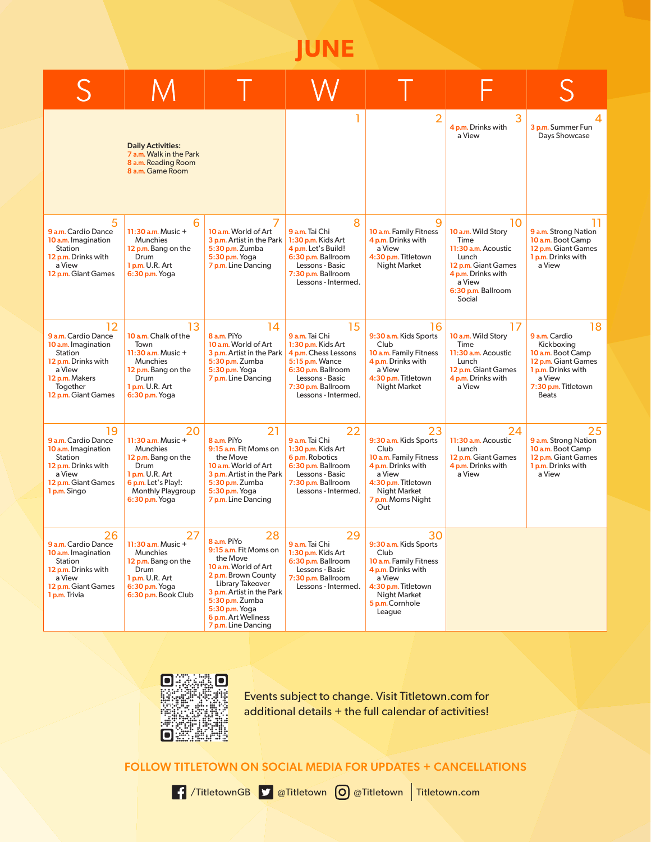**JUNE**

|                                                                                                                                                   | <b>Daily Activities:</b><br>7 a.m. Walk in the Park<br>8 a.m. Reading Room<br>8 a.m. Game Room                                                              |                                                                                                                                                                                                                                           |                                                                                                                                                                             | $\overline{2}$                                                                                                                                                    | 3<br>4 p.m. Drinks with<br>a View                                                                                                                       | 3 p.m. Summer Fun<br>Days Showcase                                                                                                                   |
|---------------------------------------------------------------------------------------------------------------------------------------------------|-------------------------------------------------------------------------------------------------------------------------------------------------------------|-------------------------------------------------------------------------------------------------------------------------------------------------------------------------------------------------------------------------------------------|-----------------------------------------------------------------------------------------------------------------------------------------------------------------------------|-------------------------------------------------------------------------------------------------------------------------------------------------------------------|---------------------------------------------------------------------------------------------------------------------------------------------------------|------------------------------------------------------------------------------------------------------------------------------------------------------|
| 5<br>9 a.m. Cardio Dance<br>10 a.m. Imagination<br>Station<br>12 p.m. Drinks with<br>a View<br>12 p.m. Giant Games                                | 6<br>11:30 $a.m.$ Music +<br><b>Munchies</b><br>12 p.m. Bang on the<br>Drum<br>1 p.m. U.R. Art<br>6:30 p.m. Yoga                                            | 10 a.m. World of Art<br>3 p.m. Artist in the Park<br>5:30 p.m. Zumba<br>5:30 p.m. Yoga<br>7 p.m. Line Dancing                                                                                                                             | 8<br>9 a.m. Tai Chi<br>1:30 p.m. Kids Art<br>4 p.m. Let's Build!<br>6:30 p.m. Ballroom<br>Lessons - Basic<br>7:30 p.m. Ballroom<br>Lessons - Intermed.                      | 9<br>10 a.m. Family Fitness<br>4 p.m. Drinks with<br>a View<br>4:30 p.m. Titletown<br>Night Market                                                                | 10<br>10 a.m. Wild Story<br>Time<br>11:30 a.m. Acoustic<br>Lunch<br>12 p.m. Giant Games<br>4 p.m. Drinks with<br>a View<br>6:30 p.m. Ballroom<br>Social | 9 a.m. Strong Nation<br>10 a.m. Boot Camp<br>12 p.m. Giant Games<br>1 p.m. Drinks with<br>a View                                                     |
| 12<br>9 a.m. Cardio Dance<br>10 a.m. Imagination<br>Station<br>12 p.m. Drinks with<br>a View<br>12 p.m. Makers<br>Together<br>12 p.m. Giant Games | 13<br>10 a.m. Chalk of the<br>Town<br>11:30 $a.m.$ Music +<br><b>Munchies</b><br>12 p.m. Bang on the<br>Drum<br>1 p.m. U.R. Art<br>6:30 p.m. Yoga           | 14<br>8 a.m. PiYo<br>10 a.m. World of Art<br>3 p.m. Artist in the Park<br>5:30 p.m. Zumba<br>5:30 p.m. Yoga<br>7 p.m. Line Dancing                                                                                                        | 15<br>9 a.m. Tai Chi<br>1:30 p.m. Kids Art<br>4 p.m. Chess Lessons<br>5:15 p.m. Wance<br>6:30 p.m. Ballroom<br>Lessons - Basic<br>7:30 p.m. Ballroom<br>Lessons - Intermed. | 16<br>9:30 a.m. Kids Sports<br>Club<br>10 a.m. Family Fitness<br>4 p.m. Drinks with<br>a View<br>4:30 p.m. Titletown<br>Night Market                              | 17<br>10 a.m. Wild Story<br>Time<br>11:30 a.m. Acoustic<br>Lunch<br>12 p.m. Giant Games<br>4 p.m. Drinks with<br>a View                                 | 18<br>9 a.m. Cardio<br>Kickboxing<br>10 a.m. Boot Camp<br>12 p.m. Giant Games<br>1 p.m. Drinks with<br>a View<br>7:30 p.m. Titletown<br><b>Beats</b> |
| 19<br>9 a.m. Cardio Dance<br>10 a.m. Imagination<br>Station<br>12 p.m. Drinks with<br>a View<br>12 p.m. Giant Games<br>1 p.m. Singo               | 20<br>11:30 a.m. Music +<br><b>Munchies</b><br>12 p.m. Bang on the<br>Drum<br>1 p.m. U.R. Art<br>6 p.m. Let's Play!:<br>Monthly Playgroup<br>6:30 p.m. Yoga | 21<br>8 a.m. PiYo<br>9:15 a.m. Fit Moms on<br>the Move<br>10 a.m. World of Art<br>3 p.m. Artist in the Park<br>5:30 p.m. Zumba<br>5:30 p.m. Yoga<br>7 p.m. Line Dancing                                                                   | 22<br>9 a.m. Tai Chi<br>1:30 p.m. Kids Art<br>6 p.m. Robotics<br>6:30 p.m. Ballroom<br>Lessons - Basic<br>7:30 p.m. Ballroom<br>Lessons - Intermed.                         | 23<br>9:30 a.m. Kids Sports<br>Club<br>10 a.m. Family Fitness<br>4 p.m. Drinks with<br>a View<br>4:30 p.m. Titletown<br>Night Market<br>7 p.m. Moms Night<br>Out  | 24<br>11:30 a.m. Acoustic<br>Lunch<br>12 p.m. Giant Games<br>4 p.m. Drinks with<br>a View                                                               | 25<br>9 a.m. Strong Nation<br>10 a.m. Boot Camp<br>12 p.m. Giant Games<br>1 p.m. Drinks with<br>a View                                               |
| 26<br>9 a.m. Cardio Dance<br>10 a.m. Imagination<br>Station<br>12 p.m. Drinks with<br>a View<br>12 p.m. Giant Games<br>1 p.m. Trivia              | 11:30 a.m. Music +<br>Munchies<br>12 p.m. Bang on the<br>Drum<br>1 p.m. U.R. Art<br>6:30 p.m. Yoga<br>6:30 p.m. Book Club                                   | 28<br>8 a.m. PiYo<br>9:15 a.m. Fit Moms on<br>the Move<br>10 a.m. World of Art<br>2 p.m. Brown County<br>Library Takeover<br>3 p.m. Artist in the Park<br>5:30 p.m. Zumba<br>5:30 p.m. Yoga<br>6 p.m. Art Wellness<br>7 p.m. Line Dancing | 29<br>9 a.m. Tai Chi<br>1:30 p.m. Kids Art<br>6:30 p.m. Ballroom<br>Lessons - Basic<br>7:30 p.m. Ballroom<br>Lessons - Intermed.                                            | 30<br>9:30 a.m. Kids Sports<br>Club<br>10 a.m. Family Fitness<br>4 p.m. Drinks with<br>a View<br>4:30 p.m. Titletown<br>Night Market<br>5 p.m. Cornhole<br>League |                                                                                                                                                         |                                                                                                                                                      |



Events subject to change. Visit Titletown.com for additional details + the full calendar of activities!

FOLLOW TITLETOWN ON SOCIAL MEDIA FOR UPDATES + CANCELLATIONS



/TitletownGB @Titletown @Titletown Titletown.com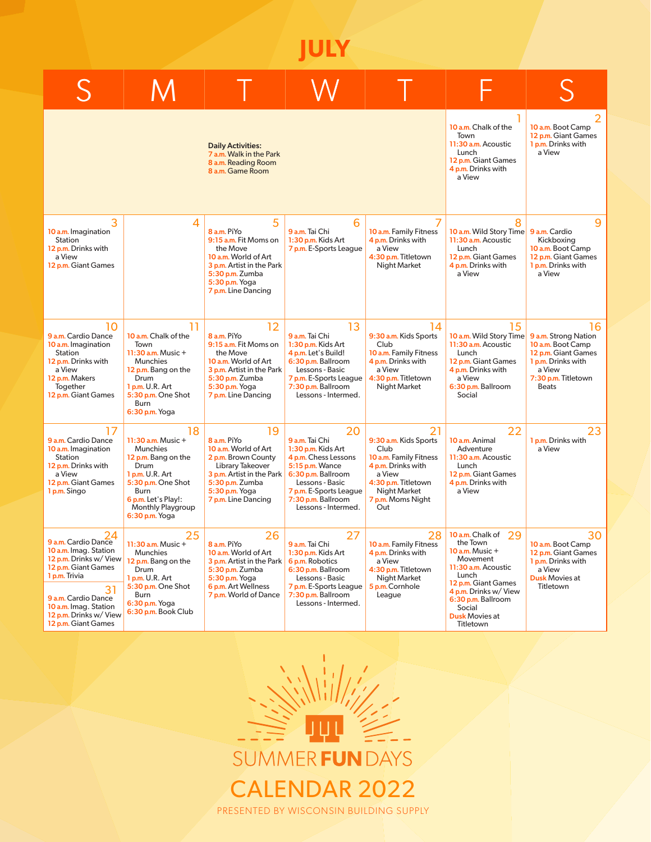**JULY**

|                                                                                                                                                                                                                             |                                                                                                                                                                                                    | <b>Daily Activities:</b><br>7 a.m. Walk in the Park<br>8 a.m. Reading Room<br>8 a.m. Game Room                                                                                |                                                                                                                                                                                                       |                                                                                                                                                                  | 10 a.m. Chalk of the<br>Town<br>11:30 a.m. Acoustic<br>Lunch<br>12 p.m. Giant Games<br>4 p.m. Drinks with<br>a View                                                                                                         | 10 a.m. Boot Camp<br>12 p.m. Giant Games<br>1 p.m. Drinks with<br>a View                                                                      |
|-----------------------------------------------------------------------------------------------------------------------------------------------------------------------------------------------------------------------------|----------------------------------------------------------------------------------------------------------------------------------------------------------------------------------------------------|-------------------------------------------------------------------------------------------------------------------------------------------------------------------------------|-------------------------------------------------------------------------------------------------------------------------------------------------------------------------------------------------------|------------------------------------------------------------------------------------------------------------------------------------------------------------------|-----------------------------------------------------------------------------------------------------------------------------------------------------------------------------------------------------------------------------|-----------------------------------------------------------------------------------------------------------------------------------------------|
| 3<br>10 a.m. Imagination<br>Station<br>12 p.m. Drinks with<br>a View<br>12 p.m. Giant Games                                                                                                                                 | 4                                                                                                                                                                                                  | 5<br>8 a.m. PiYo<br>9:15 a.m. Fit Moms on<br>the Move<br>10 a.m. World of Art<br>3 p.m. Artist in the Park<br>5:30 p.m. Zumba<br>5:30 p.m. Yoga<br>7 p.m. Line Dancing        | 6<br>9 a.m. Tai Chi<br>1:30 p.m. Kids Art<br>7 p.m. E-Sports League                                                                                                                                   | 7<br>10 a.m. Family Fitness<br>4 p.m. Drinks with<br>a View<br>4:30 p.m. Titletown<br>Night Market                                                               | 8<br>10 a.m. Wild Story Time 9 a.m. Cardio<br>11:30 a.m. Acoustic<br>Lunch<br>12 p.m. Giant Games<br>4 p.m. Drinks with<br>a View                                                                                           | 9<br>Kickboxing<br>10 a.m. Boot Camp<br>12 p.m. Giant Games<br>1 p.m. Drinks with<br>a View                                                   |
| 10<br>9 a.m. Cardio Dance<br>10 a.m. Imagination<br>Station<br>12 p.m. Drinks with<br>a View<br>12 p.m. Makers<br>Together<br>12 p.m. Giant Games                                                                           | 11<br>10 a.m. Chalk of the<br>Town<br>$11:30$ a.m. Music +<br><b>Munchies</b><br>12 p.m. Bang on the<br>Drum<br>1 p.m. U.R. Art<br>5:30 p.m. One Shot<br>Burn<br>6:30 p.m. Yoga                    | 12<br>8 a.m. PiYo<br>9:15 a.m. Fit Moms on<br>the Move<br>10 a.m. World of Art<br>3 p.m. Artist in the Park<br>5:30 p.m. Zumba<br>5:30 p.m. Yoga<br>7 p.m. Line Dancing       | 13<br>9 a.m. Tai Chi<br>1:30 p.m. Kids Art<br>4 p.m. Let's Build!<br>6:30 p.m. Ballroom<br>Lessons - Basic<br>7 p.m. E-Sports League<br>7:30 p.m. Ballroom<br>Lessons - Intermed.                     | 14<br>9:30 a.m. Kids Sports<br>Club<br>10 a.m. Family Fitness<br>4 p.m. Drinks with<br>a View<br>4:30 p.m. Titletown<br>Night Market                             | 15<br>10 a.m. Wild Story Time<br>11:30 a.m. Acoustic<br>Lunch<br>12 p.m. Giant Games<br>4 p.m. Drinks with<br>a View<br>6:30 p.m. Ballroom<br>Social                                                                        | 16<br>9 a.m. Strong Nation<br>10 a.m. Boot Camp<br>12 p.m. Giant Games<br>1 p.m. Drinks with<br>a View<br>7:30 p.m. Titletown<br><b>Beats</b> |
| 17<br>9 a.m. Cardio Dance<br>10 a.m. Imagination<br>Station<br>12 p.m. Drinks with<br>a View<br>12 p.m. Giant Games<br>1 p.m. Singo                                                                                         | 18<br>$11:30$ a.m. Music +<br>Munchies<br>12 p.m. Bang on the<br>Drum<br><b>1 p.m.</b> U.R. Art<br>5:30 p.m. One Shot<br>Burn<br>6 p.m. Let's Play!:<br><b>Monthly Playgroup</b><br>6:30 p.m. Yoga | 19<br>8 a.m. PiYo<br>10 a.m. World of Art<br>2 p.m. Brown County<br>Library Takeover<br>3 p.m. Artist in the Park<br>5:30 p.m. Zumba<br>5:30 p.m. Yoga<br>7 p.m. Line Dancing | 20<br>9 a.m. Tai Chi<br>1:30 p.m. Kids Art<br>4 p.m. Chess Lessons<br>5:15 p.m. Wance<br>6:30 p.m. Ballroom<br>Lessons - Basic<br>7 p.m. E-Sports League<br>7:30 p.m. Ballroom<br>Lessons - Intermed. | 21<br>9:30 a.m. Kids Sports<br>Club<br>10 a.m. Family Fitness<br>4 p.m. Drinks with<br>a View<br>4:30 p.m. Titletown<br>Night Market<br>7 p.m. Moms Night<br>Out | 22<br>10 a.m. Animal<br>Adventure<br>11:30 a.m. Acoustic<br>Lunch<br>12 p.m. Giant Games<br>4 p.m. Drinks with<br>a View                                                                                                    | 23<br>1 p.m. Drinks with<br>a View                                                                                                            |
| 24<br>9 a.m. Cardio Dance<br>10 a.m. Imag. Station<br>12 p.m. Drinks w/ View<br>12 p.m. Giant Games<br>1 p.m. Trivia<br>31<br>9 a.m. Cardio Dance<br>10 a.m. Imag. Station<br>12 p.m. Drinks w/ View<br>12 p.m. Giant Games | 25<br>$11:30$ a.m. Music $+$<br><b>Munchies</b><br>12 p.m. Bang on the<br>Drum<br>1 p.m. U.R. Art<br>5:30 p.m. One Shot<br>Burn<br>6:30 p.m. Yoga<br>6:30 p.m. Book Club                           | 26<br>8 a.m. PiYo<br>10 a.m. World of Art<br>3 p.m. Artist in the Park<br>5:30 p.m. Zumba<br>5:30 p.m. Yoga<br>6 p.m. Art Wellness<br>7 p.m. World of Dance                   | 27<br>9 a.m. Tai Chi<br>1:30 p.m. Kids Art<br>6 p.m. Robotics<br>6:30 p.m. Ballroom<br>Lessons - Basic<br>7 p.m. E-Sports League<br>7:30 p.m. Ballroom<br>Lessons - Intermed.                         | 28<br>10 a.m. Family Fitness<br>4 p.m. Drinks with<br>a View<br>4:30 p.m. Titletown<br>Night Market<br>5 p.m. Cornhole<br>League                                 | 10 a.m. Chalk of<br>29<br>the Town<br>$10$ a.m. Music $+$<br>Movement<br>11:30 a.m. Acoustic<br>Lunch<br>12 p.m. Giant Games<br>4 p.m. Drinks w/ View<br>6:30 p.m. Ballroom<br>Social<br><b>Dusk Movies at</b><br>Titletown | 30<br><b>10 a.m.</b> Boot Camp<br>12 p.m. Giant Games<br>1 p.m. Drinks with<br>a View<br><b>Dusk Movies at</b><br>Titletown                   |

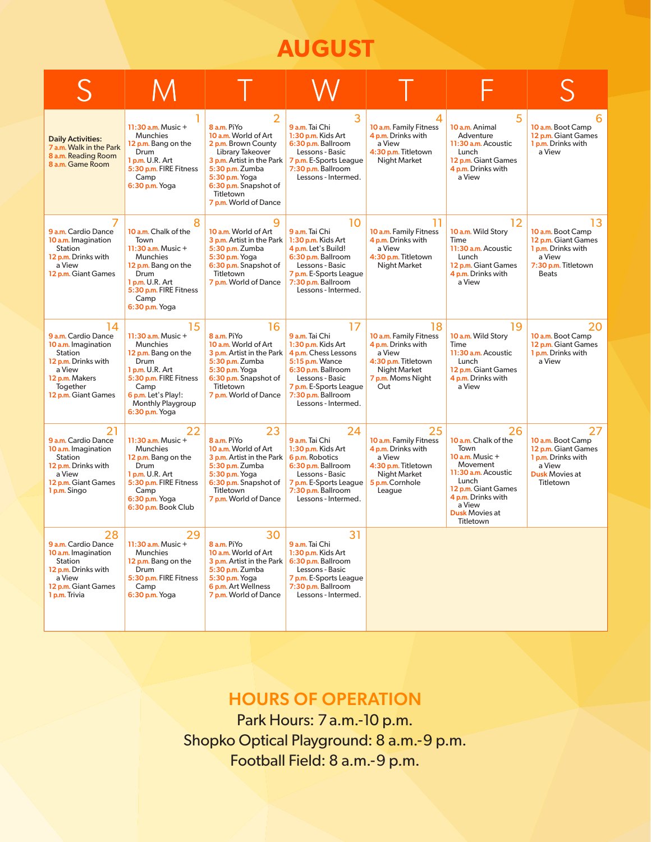# **AUGUST**

| <b>Daily Activities:</b><br>7 a.m. Walk in the Park<br>8 a.m. Reading Room<br>8 a.m. Game Room                                                    | 11:30 a.m. Music $+$<br><b>Munchies</b><br>12 p.m. Bang on the<br>Drum<br>1 p.m. U.R. Art<br>5:30 p.m. FIRE Fitness<br>Camp<br>6:30 p.m. Yoga                                                   | 8 a.m. PiYo<br>10 a.m. World of Art<br>2 p.m. Brown County<br>Library Takeover<br>3 p.m. Artist in the Park<br>5:30 p.m. Zumba<br>5:30 p.m. Yoga<br>6:30 p.m. Snapshot of<br>Titletown<br>7 p.m. World of Dance | 3<br>9 a.m. Tai Chi<br>1:30 p.m. Kids Art<br>6:30 p.m. Ballroom<br>Lessons - Basic<br>7 p.m. E-Sports League<br>7:30 p.m. Ballroom<br>Lessons - Intermed.                                             | 10 a.m. Family Fitness<br>4 p.m. Drinks with<br>a View<br>4:30 p.m. Titletown<br><b>Night Market</b>                                    | 5<br>10 a.m. Animal<br>Adventure<br>11:30 a.m. Acoustic<br>Lunch<br>12 p.m. Giant Games<br>4 p.m. Drinks with<br>a View                                                                        | 10 a.m. Boot Camp<br>12 p.m. Giant Games<br>1 p.m. Drinks with<br>a View                                              |
|---------------------------------------------------------------------------------------------------------------------------------------------------|-------------------------------------------------------------------------------------------------------------------------------------------------------------------------------------------------|-----------------------------------------------------------------------------------------------------------------------------------------------------------------------------------------------------------------|-------------------------------------------------------------------------------------------------------------------------------------------------------------------------------------------------------|-----------------------------------------------------------------------------------------------------------------------------------------|------------------------------------------------------------------------------------------------------------------------------------------------------------------------------------------------|-----------------------------------------------------------------------------------------------------------------------|
| 9 a.m. Cardio Dance<br>10 a.m. Imagination<br>Station<br>12 p.m. Drinks with<br>a View<br>12 p.m. Giant Games                                     | 8<br>10 a.m. Chalk of the<br>Town<br>11:30 $a.m.$ Music +<br><b>Munchies</b><br>12 p.m. Bang on the<br>Drum<br><b>1 p.m.</b> U.R. Art<br>5:30 p.m. FIRE Fitness<br>Camp<br>6:30 p.m. Yoga       | q<br>10 a.m. World of Art<br>3 p.m. Artist in the Park<br>5:30 p.m. Zumba<br>5:30 p.m. Yoga<br>6:30 p.m. Snapshot of<br>Titletown<br>7 p.m. World of Dance                                                      | 10<br>9 a.m. Tai Chi<br>1:30 p.m. Kids Art<br>4 p.m. Let's Build!<br>6:30 p.m. Ballroom<br>Lessons - Basic<br>7 p.m. E-Sports League<br>7:30 p.m. Ballroom<br>Lessons - Intermed.                     | 11<br>10 a.m. Family Fitness<br>4 p.m. Drinks with<br>a View<br>4:30 p.m. Titletown<br><b>Night Market</b>                              | 12<br>10 a.m. Wild Story<br>Time<br>11:30 a.m. Acoustic<br>Lunch<br>12 p.m. Giant Games<br>4 p.m. Drinks with<br>a View                                                                        | 13<br>10 a.m. Boot Camp<br>12 p.m. Giant Games<br>1 p.m. Drinks with<br>a View<br>7:30 p.m. Titletown<br><b>Beats</b> |
| 14<br>9 a.m. Cardio Dance<br>10 a.m. Imagination<br>Station<br>12 p.m. Drinks with<br>a View<br>12 p.m. Makers<br>Together<br>12 p.m. Giant Games | 15<br>11:30 a.m. Music $+$<br><b>Munchies</b><br>12 p.m. Bang on the<br>Drum<br>1 p.m. U.R. Art<br>5:30 p.m. FIRE Fitness<br>Camp<br>6 p.m. Let's Play!:<br>Monthly Playgroup<br>6:30 p.m. Yoga | 16<br>8 a.m. PiYo<br>10 a.m. World of Art<br>3 p.m. Artist in the Park<br>5:30 p.m. Zumba<br>5:30 p.m. Yoga<br>6:30 p.m. Snapshot of<br>Titletown<br>7 p.m. World of Dance                                      | 17<br>9 a.m. Tai Chi<br>1:30 p.m. Kids Art<br>4 p.m. Chess Lessons<br>5:15 p.m. Wance<br>6:30 p.m. Ballroom<br>Lessons - Basic<br>7 p.m. E-Sports League<br>7:30 p.m. Ballroom<br>Lessons - Intermed. | 18<br>10 a.m. Family Fitness<br>4 p.m. Drinks with<br>a View<br>4:30 p.m. Titletown<br><b>Night Market</b><br>7 p.m. Moms Night<br>Out  | 19<br>10 a.m. Wild Story<br>Time<br>11:30 a.m. Acoustic<br>Lunch<br>12 p.m. Giant Games<br>4 p.m. Drinks with<br>a View                                                                        | 20<br>10 a.m. Boot Camp<br>12 p.m. Giant Games<br>1 p.m. Drinks with<br>a View                                        |
| 21<br>9 a.m. Cardio Dance<br>10 a.m. Imagination<br>Station<br>12 p.m. Drinks with<br>a View<br>12 p.m. Giant Games<br>1 p.m. Singo               | 22<br>11:30 $a.m.$ Music +<br>Munchies<br>12 p.m. Bang on the<br>Drum<br>1 p.m. U.R. Art<br>5:30 p.m. FIRE Fitness<br>Camp<br>6:30 p.m. Yoga<br>6:30 p.m. Book Club                             | 23<br>8 a.m. PiYo<br>10 a.m. World of Art<br>3 p.m. Artist in the Park<br>5:30 p.m. Zumba<br>5:30 p.m. Yoga<br>6:30 p.m. Snapshot of<br>Titletown<br>7 p.m. World of Dance                                      | 24<br>9 a.m. Tai Chi<br>1:30 p.m. Kids Art<br>6 p.m. Robotics<br>6:30 p.m. Ballroom<br>Lessons - Basic<br>7 p.m. E-Sports League<br>7:30 p.m. Ballroom<br>Lessons - Intermed.                         | 25<br>10 a.m. Family Fitness<br>4 p.m. Drinks with<br>a View<br>4:30 p.m. Titletown<br><b>Night Market</b><br>5 p.m. Cornhole<br>League | 26<br>10 a.m. Chalk of the<br>Town<br>10 a.m. Music +<br>Movement<br>11:30 a.m. Acoustic<br>Lunch<br>12 p.m. Giant Games<br>4 p.m. Drinks with<br>a View<br><b>Dusk Movies at</b><br>Titletown | 27<br>10 a.m. Boot Camp<br>12 p.m. Giant Games<br>1 p.m. Drinks with<br>a View<br><b>Dusk Movies at</b><br>Titletown  |
| 28<br>9 a.m. Cardio Dance<br>10 a.m. Imagination<br>Station<br>12 p.m. Drinks with<br>a View<br>12 p.m. Giant Games<br>1 p.m. Trivia              | 29<br>11:30 $a.m.$ Music +<br><b>Munchies</b><br>12 p.m. Bang on the<br>Drum<br>5:30 p.m. FIRE Fitness<br>Camp<br>6:30 p.m. Yoga                                                                | 30<br>8 a.m. PiYo<br>10 a.m. World of Art<br>3 p.m. Artist in the Park<br>5:30 p.m. Zumba<br>5:30 p.m. Yoga<br>6 p.m. Art Wellness<br>7 p.m. World of Dance                                                     | 31<br>9 a.m. Tai Chi<br>1:30 p.m. Kids Art<br>6:30 p.m. Ballroom<br>Lessons - Basic<br>7 p.m. E-Sports League<br>7:30 p.m. Ballroom<br>Lessons - Intermed.                                            |                                                                                                                                         |                                                                                                                                                                                                |                                                                                                                       |

# HOURS OF OPERATION

Park Hours: 7 a.m.-10 p.m. Shopko Optical Playground: 8 a.m.-9 p.m. Football Field: 8 a.m.-9 p.m.